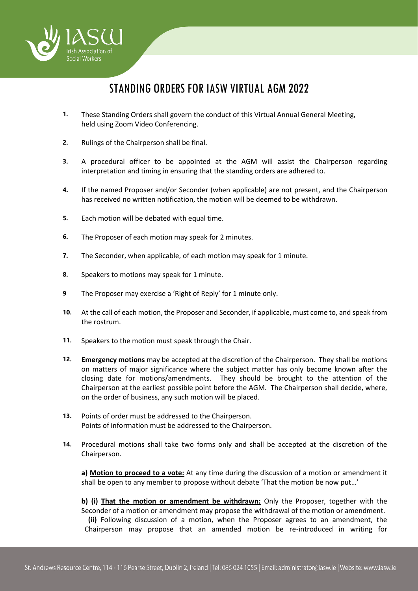

## STANDING ORDERS FOR IASW VIRTUAL AGM 2022

- **1.** These Standing Orders shall govern the conduct of this Virtual Annual General Meeting, held using Zoom Video Conferencing.
- **2.** Rulings of the Chairperson shall be final.
- **3.** A procedural officer to be appointed at the AGM will assist the Chairperson regarding interpretation and timing in ensuring that the standing orders are adhered to.
- **4.** If the named Proposer and/or Seconder (when applicable) are not present, and the Chairperson has received no written notification, the motion will be deemed to be withdrawn.
- **5.** Each motion will be debated with equal time.
- **6.** The Proposer of each motion may speak for 2 minutes.
- **7.** The Seconder, when applicable, of each motion may speak for 1 minute.
- **8.** Speakers to motions may speak for 1 minute.
- **9** The Proposer may exercise a 'Right of Reply' for 1 minute only.
- **10.** At the call of each motion, the Proposer and Seconder, if applicable, must come to, and speak from the rostrum.
- **11.** Speakers to the motion must speak through the Chair.
- **12. Emergency motions** may be accepted at the discretion of the Chairperson. They shall be motions on matters of major significance where the subject matter has only become known after the closing date for motions/amendments. They should be brought to the attention of the Chairperson at the earliest possible point before the AGM. The Chairperson shall decide, where, on the order of business, any such motion will be placed.
- **13.** Points of order must be addressed to the Chairperson. Points of information must be addressed to the Chairperson.
- **14.** Procedural motions shall take two forms only and shall be accepted at the discretion of the Chairperson.

**a) Motion to proceed to a vote:** At any time during the discussion of a motion or amendment it shall be open to any member to propose without debate 'That the motion be now put…'

**b) (i) That the motion or amendment be withdrawn:** Only the Proposer, together with the Seconder of a motion or amendment may propose the withdrawal of the motion or amendment.  **(ii)** Following discussion of a motion, when the Proposer agrees to an amendment, the Chairperson may propose that an amended motion be re-introduced in writing for